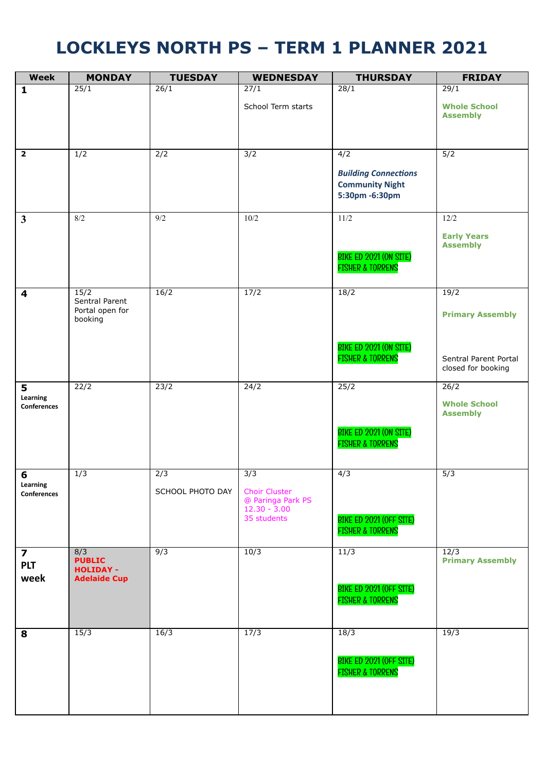## **LOCKLEYS NORTH PS – TERM 1 PLANNER 2021**

| <b>Week</b>                  | <b>MONDAY</b>                                | <b>TUESDAY</b>   | <b>WEDNESDAY</b>                                                           | <b>THURSDAY</b>                                                         | <b>FRIDAY</b>                                  |
|------------------------------|----------------------------------------------|------------------|----------------------------------------------------------------------------|-------------------------------------------------------------------------|------------------------------------------------|
| $\mathbf{1}$                 | 25/1                                         | 26/1             | $\sqrt{27/1}$                                                              | 28/1                                                                    | 29/1                                           |
|                              |                                              |                  | School Term starts                                                         |                                                                         | <b>Whole School</b><br><b>Assembly</b>         |
|                              |                                              |                  |                                                                            |                                                                         |                                                |
| $\overline{\mathbf{2}}$      | 1/2                                          | 2/2              | 3/2                                                                        | 4/2                                                                     | 5/2                                            |
|                              |                                              |                  |                                                                            | <b>Building Connections</b><br><b>Community Night</b><br>5:30pm -6:30pm |                                                |
| $\mathbf{3}$                 | $8/2$                                        | 9/2              | 10/2                                                                       | 11/2                                                                    | 12/2                                           |
|                              |                                              |                  |                                                                            | BIKE ED 2021 (ON SITE)<br><b>FISHER &amp; TORRENS</b>                   | <b>Early Years</b><br><b>Assembly</b>          |
| 4                            | 15/2                                         | 16/2             | 17/2                                                                       | 18/2                                                                    | 19/2                                           |
|                              | Sentral Parent<br>Portal open for<br>booking |                  |                                                                            |                                                                         | <b>Primary Assembly</b>                        |
|                              |                                              |                  |                                                                            | BIKE ED 2021 (ON SITE)<br><b>FISHER &amp; TORRENS</b>                   | Sentral Parent Portal<br>closed for booking    |
| 5<br>Learning<br>Conferences | 22/2                                         | 23/2             | 24/2                                                                       | 25/2                                                                    | 26/2<br><b>Whole School</b><br><b>Assembly</b> |
|                              |                                              |                  |                                                                            | BIKE ED 2021 (ON SITE)<br><b>FISHER &amp; TORRENS</b>                   |                                                |
| 6                            | $\overline{1/3}$                             | $\sqrt{2/3}$     | 3/3                                                                        | 4/3                                                                     | 5/3                                            |
| Learning<br>Conferences      |                                              | SCHOOL PHOTO DAY | <b>Choir Cluster</b><br>@ Paringa Park PS<br>$12.30 - 3.00$<br>35 students | BIKE ED 2021 (OFF SITE)<br><b>FISHER &amp; TORRENS</b>                  |                                                |
| $\overline{\mathbf{z}}$      | 8/3<br><b>PUBLIC</b>                         | 9/3              | 10/3                                                                       | 11/3                                                                    | 12/3<br><b>Primary Assembly</b>                |
| <b>PLT</b><br>week           | <b>HOLIDAY -</b><br><b>Adelaide Cup</b>      |                  |                                                                            | BIKE ED 2021 (OFF SITE)<br><b>FISHER &amp; TORRENS</b>                  |                                                |
| 8                            | 15/3                                         | 16/3             | 17/3                                                                       | 18/3                                                                    | 19/3                                           |
|                              |                                              |                  |                                                                            | BIKE ED 2021 (OFF SITE)<br><b>FISHER &amp; TORRENS</b>                  |                                                |